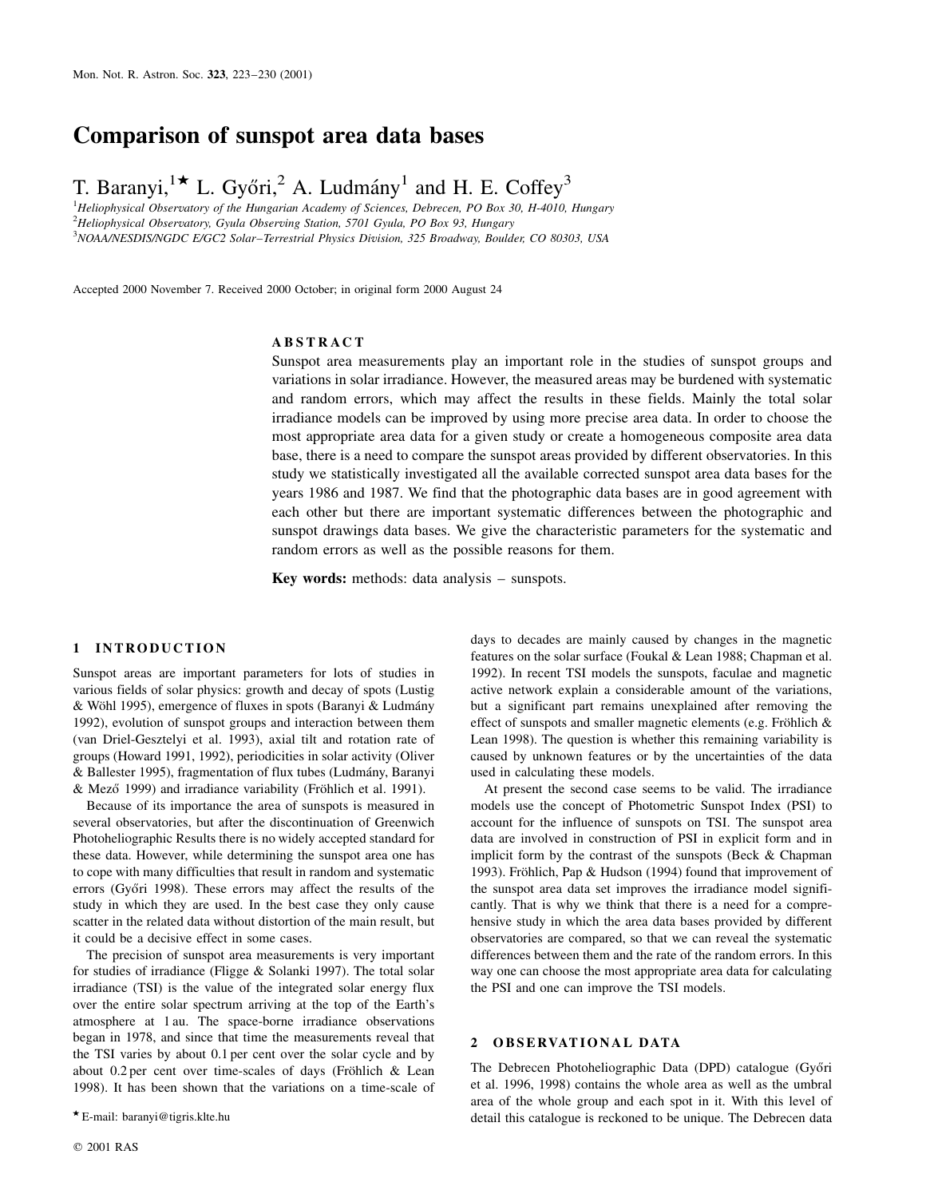# **Comparison of sunspot area data bases**

T. Baranyi,<sup>1\*</sup> L. Győri,<sup>2</sup> A. Ludmány<sup>1</sup> and H. E. Coffey<sup>3</sup>

<sup>1</sup>Heliophysical Observatory of the Hungarian Academy of Sciences, Debrecen, PO Box 30, H-4010, Hungary <sup>2</sup>Heliophysical Observatory, Gyula Observing Station, 5701 Gyula, PO Box 93, Hungary <sup>3</sup>NOAA/NESDIS/NGDC E/GC2 Solar-Terrestrial Physics Division, 325 Broadway, Boulder, CO 80303, USA

Accepted 2000 November 7. Received 2000 October; in original form 2000 August 24

# **ABSTRACT**

Sunspot area measurements play an important role in the studies of sunspot groups and variations in solar irradiance. However, the measured areas may be burdened with systematic and random errors, which may affect the results in these fields. Mainly the total solar irradiance models can be improved by using more precise area data. In order to choose the most appropriate area data for a given study or create a homogeneous composite area data base, there is a need to compare the sunspot areas provided by different observatories. In this study we statistically investigated all the available corrected sunspot area data bases for the years 1986 and 1987. We find that the photographic data bases are in good agreement with each other but there are important systematic differences between the photographic and sunspot drawings data bases. We give the characteristic parameters for the systematic and random errors as well as the possible reasons for them.

**Key words:** methods: data analysis – sunspots.

# 1 INTRODUCTION

Sunspot areas are important parameters for lots of studies in various fields of solar physics: growth and decay of spots (Lustig & Wöhl 1995), emergence of fluxes in spots (Baranyi & Ludmány 1992), evolution of sunspot groups and interaction between them (van Driel-Gesztelyi et al. 1993), axial tilt and rotation rate of groups (Howard 1991, 1992), periodicities in solar activity (Oliver & Ballester 1995), fragmentation of flux tubes (Ludmány, Baranyi & Mező 1999) and irradiance variability (Fröhlich et al. 1991).

Because of its importance the area of sunspots is measured in several observatories, but after the discontinuation of Greenwich Photoheliographic Results there is no widely accepted standard for these data. However, while determining the sunspot area one has to cope with many difficulties that result in random and systematic errors (Győri 1998). These errors may affect the results of the study in which they are used. In the best case they only cause scatter in the related data without distortion of the main result, but it could be a decisive effect in some cases.

The precision of sunspot area measurements is very important for studies of irradiance (Fligge & Solanki 1997). The total solar irradiance (TSI) is the value of the integrated solar energy flux over the entire solar spectrum arriving at the top of the Earth's atmosphere at 1 au. The space-borne irradiance observations began in 1978, and since that time the measurements reveal that the TSI varies by about 0.1 per cent over the solar cycle and by about 0.2 per cent over time-scales of days (Fröhlich & Lean 1998). It has been shown that the variations on a time-scale of

days to decades are mainly caused by changes in the magnetic features on the solar surface (Foukal & Lean 1988; Chapman et al. 1992). In recent TSI models the sunspots, faculae and magnetic active network explain a considerable amount of the variations, but a significant part remains unexplained after removing the effect of sunspots and smaller magnetic elements (e.g. Fröhlich & Lean 1998). The question is whether this remaining variability is caused by unknown features or by the uncertainties of the data used in calculating these models.

At present the second case seems to be valid. The irradiance models use the concept of Photometric Sunspot Index (PSI) to account for the influence of sunspots on TSI. The sunspot area data are involved in construction of PSI in explicit form and in implicit form by the contrast of the sunspots (Beck & Chapman 1993). Fröhlich, Pap & Hudson (1994) found that improvement of the sunspot area data set improves the irradiance model significantly. That is why we think that there is a need for a comprehensive study in which the area data bases provided by different observatories are compared, so that we can reveal the systematic differences between them and the rate of the random errors. In this way one can choose the most appropriate area data for calculating the PSI and one can improve the TSI models.

# 2 OBSERVATIONAL DATA

The Debrecen Photoheliographic Data (DPD) catalogue (Győri et al. 1996, 1998) contains the whole area as well as the umbral area of the whole group and each spot in it. With this level of detail this catalogue is reckoned to be unique. The Debrecen data

E-mail: baranyi@tigris.klte.hu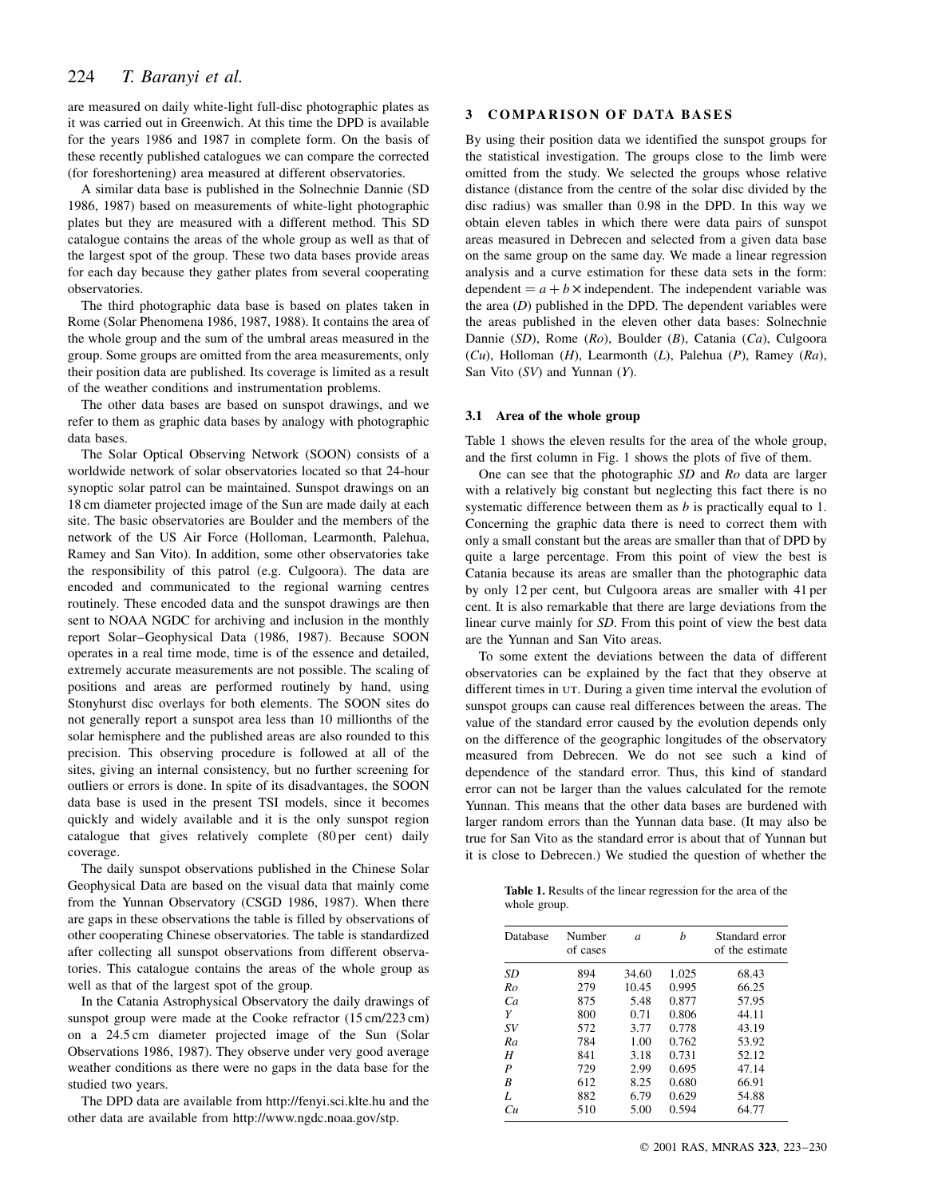#### 224 T. Baranyi et al.

are measured on daily white-light full-disc photographic plates as it was carried out in Greenwich. At this time the DPD is available for the years 1986 and 1987 in complete form. On the basis of these recently published catalogues we can compare the corrected (for foreshortening) area measured at different observatories.

A similar data base is published in the Solnechnie Dannie (SD 1986, 1987) based on measurements of white-light photographic plates but they are measured with a different method. This SD catalogue contains the areas of the whole group as well as that of the largest spot of the group. These two data bases provide areas for each day because they gather plates from several cooperating observatories.

The third photographic data base is based on plates taken in Rome (Solar Phenomena 1986, 1987, 1988). It contains the area of the whole group and the sum of the umbral areas measured in the group. Some groups are omitted from the area measurements, only their position data are published. Its coverage is limited as a result of the weather conditions and instrumentation problems.

The other data bases are based on sunspot drawings, and we refer to them as graphic data bases by analogy with photographic data bases.

The Solar Optical Observing Network (SOON) consists of a worldwide network of solar observatories located so that 24-hour synoptic solar patrol can be maintained. Sunspot drawings on an 18 cm diameter projected image of the Sun are made daily at each site. The basic observatories are Boulder and the members of the network of the US Air Force (Holloman, Learmonth, Palehua, Ramey and San Vito). In addition, some other observatories take the responsibility of this patrol (e.g. Culgoora). The data are encoded and communicated to the regional warning centres routinely. These encoded data and the sunspot drawings are then sent to NOAA NGDC for archiving and inclusion in the monthly report Solar-Geophysical Data (1986, 1987). Because SOON operates in a real time mode, time is of the essence and detailed, extremely accurate measurements are not possible. The scaling of positions and areas are performed routinely by hand, using Stonyhurst disc overlays for both elements. The SOON sites do not generally report a sunspot area less than 10 millionths of the solar hemisphere and the published areas are also rounded to this precision. This observing procedure is followed at all of the sites, giving an internal consistency, but no further screening for outliers or errors is done. In spite of its disadvantages, the SOON data base is used in the present TSI models, since it becomes quickly and widely available and it is the only sunspot region catalogue that gives relatively complete (80 per cent) daily coverage.

The daily sunspot observations published in the Chinese Solar Geophysical Data are based on the visual data that mainly come from the Yunnan Observatory (CSGD 1986, 1987). When there are gaps in these observations the table is filled by observations of other cooperating Chinese observatories. The table is standardized after collecting all sunspot observations from different observatories. This catalogue contains the areas of the whole group as well as that of the largest spot of the group.

In the Catania Astrophysical Observatory the daily drawings of sunspot group were made at the Cooke refractor  $(15 \text{ cm}/223 \text{ cm})$ on a 24.5 cm diameter projected image of the Sun (Solar Observations 1986, 1987). They observe under very good average weather conditions as there were no gaps in the data base for the studied two years.

The DPD data are available from http://fenyi.sci.klte.hu and the other data are available from http://www.ngdc.noaa.gov/stp.

#### **COMPARISON OF DATA BASES**  $\mathbf{3}$

By using their position data we identified the sunspot groups for the statistical investigation. The groups close to the limb were omitted from the study. We selected the groups whose relative distance (distance from the centre of the solar disc divided by the disc radius) was smaller than 0.98 in the DPD. In this way we obtain eleven tables in which there were data pairs of sunspot areas measured in Debrecen and selected from a given data base on the same group on the same day. We made a linear regression analysis and a curve estimation for these data sets in the form: dependent =  $a + b \times$  independent. The independent variable was the area  $(D)$  published in the DPD. The dependent variables were the areas published in the eleven other data bases: Solnechnie Dannie (SD), Rome (Ro), Boulder (B), Catania (Ca), Culgoora  $(Cu)$ , Holloman  $(H)$ , Learmonth  $(L)$ , Palehua  $(P)$ , Ramey  $(Ra)$ , San Vito  $(SV)$  and Yunnan  $(Y)$ .

#### 3.1 Area of the whole group

Table 1 shows the eleven results for the area of the whole group, and the first column in Fig. 1 shows the plots of five of them.

One can see that the photographic  $SD$  and  $Ro$  data are larger with a relatively big constant but neglecting this fact there is no systematic difference between them as  $b$  is practically equal to 1. Concerning the graphic data there is need to correct them with only a small constant but the areas are smaller than that of DPD by quite a large percentage. From this point of view the best is Catania because its areas are smaller than the photographic data by only 12 per cent, but Culgoora areas are smaller with 41 per cent. It is also remarkable that there are large deviations from the linear curve mainly for SD. From this point of view the best data are the Yunnan and San Vito areas.

To some extent the deviations between the data of different observatories can be explained by the fact that they observe at different times in UT. During a given time interval the evolution of sunspot groups can cause real differences between the areas. The value of the standard error caused by the evolution depends only on the difference of the geographic longitudes of the observatory measured from Debrecen. We do not see such a kind of dependence of the standard error. Thus, this kind of standard error can not be larger than the values calculated for the remote Yunnan. This means that the other data bases are burdened with larger random errors than the Yunnan data base. (It may also be true for San Vito as the standard error is about that of Yunnan but it is close to Debrecen.) We studied the question of whether the

Table 1. Results of the linear regression for the area of the whole group.

| Database | Number<br>of cases | $\overline{a}$ | h     | Standard error<br>of the estimate |  |
|----------|--------------------|----------------|-------|-----------------------------------|--|
| SD       | 894                | 34.60          | 1.025 | 68.43                             |  |
| Ro       | 279                | 10.45          | 0.995 | 66.25                             |  |
| Ca       | 875                | 5.48           | 0.877 | 57.95                             |  |
| Y        | 800                | 0.71           | 0.806 | 44.11                             |  |
| SV       | 572                | 3.77           | 0.778 | 43.19                             |  |
| Ra       | 784                | 1.00           | 0.762 | 53.92                             |  |
| Н        | 841                | 3.18           | 0.731 | 52.12                             |  |
| P        | 729                | 2.99           | 0.695 | 47.14                             |  |
| B        | 612                | 8.25           | 0.680 | 66.91                             |  |
| L        | 882                | 6.79           | 0.629 | 54.88                             |  |
| Cи       | 510                | 5.00           | 0.594 | 64.77                             |  |
|          |                    |                |       |                                   |  |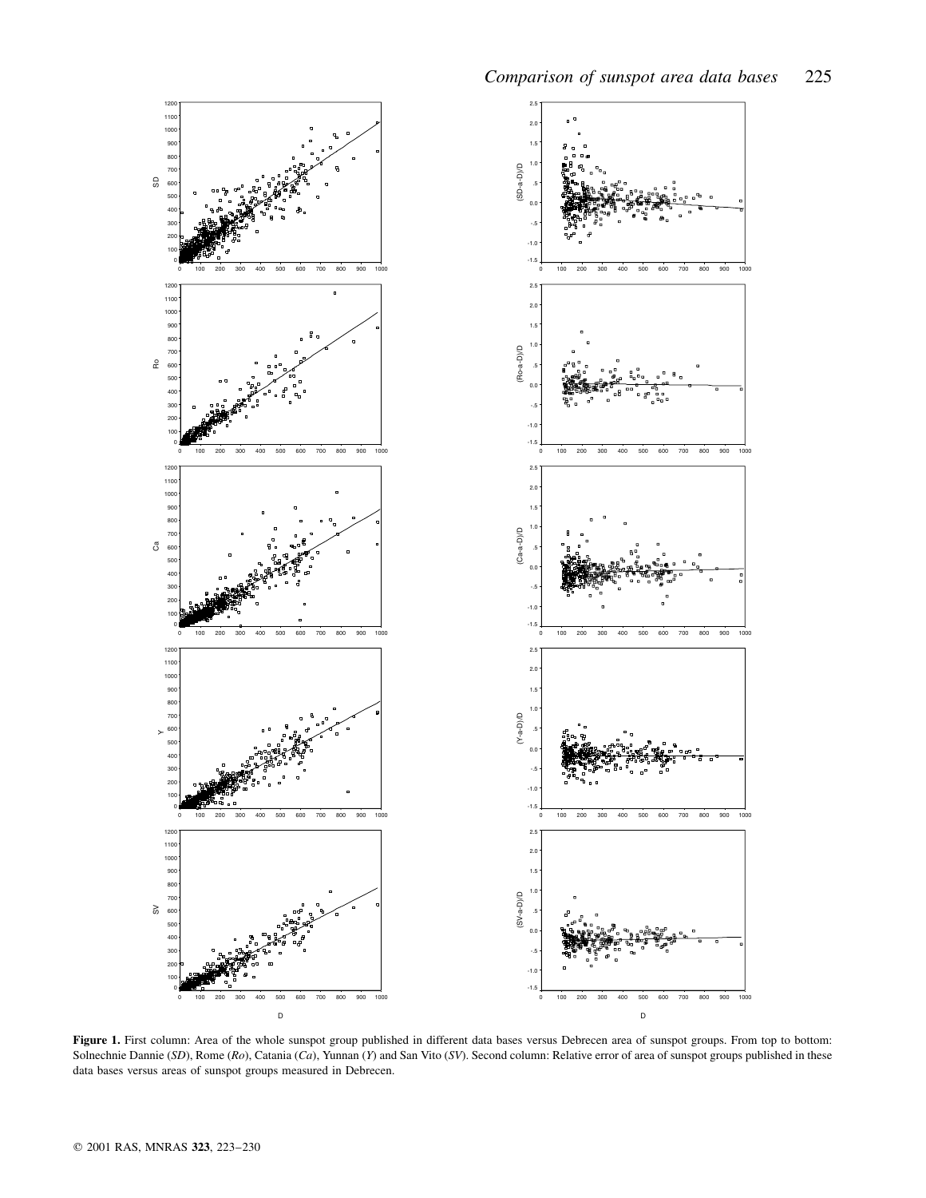

 $900$ 100

 $\frac{1}{900}$ 

1000

1000

 $\frac{1}{900}$ 

 $\frac{1}{900}$ 

 $100$ 

1000

Figure 1. First column: Area of the whole sunspot group published in different data bases versus Debrecen area of sunspot groups. From top to bottom: Solnechnie Dannie (SD), Rome (Ro), Catania (Ca), Yunnan (Y) and San Vito (SV). Second column: Relative error of area of sunspot groups published in these data bases versus areas of sunspot groups measured in Debrecen.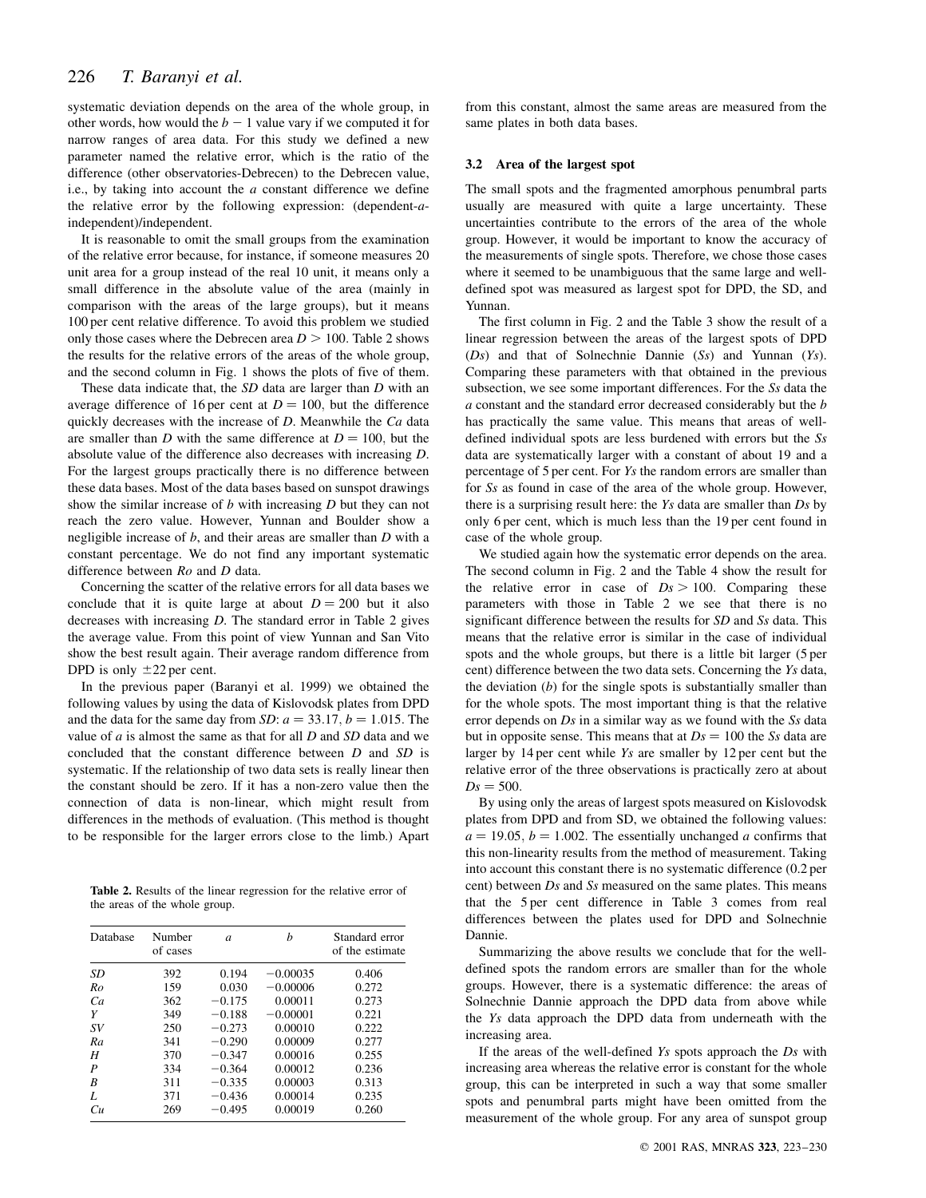systematic deviation depends on the area of the whole group, in other words, how would the  $b-1$  value vary if we computed it for narrow ranges of area data. For this study we defined a new parameter named the relative error, which is the ratio of the difference (other observatories-Debrecen) to the Debrecen value, i.e., by taking into account the  $a$  constant difference we define the relative error by the following expression: (dependent-aindependent)/independent.

It is reasonable to omit the small groups from the examination of the relative error because, for instance, if someone measures 20 unit area for a group instead of the real 10 unit, it means only a small difference in the absolute value of the area (mainly in comparison with the areas of the large groups), but it means 100 per cent relative difference. To avoid this problem we studied only those cases where the Debrecen area  $D > 100$ . Table 2 shows the results for the relative errors of the areas of the whole group, and the second column in Fig. 1 shows the plots of five of them.

These data indicate that, the SD data are larger than D with an average difference of 16 per cent at  $D = 100$ , but the difference quickly decreases with the increase of D. Meanwhile the Ca data are smaller than D with the same difference at  $D = 100$ , but the absolute value of the difference also decreases with increasing D. For the largest groups practically there is no difference between these data bases. Most of the data bases based on sunspot drawings show the similar increase of  $b$  with increasing  $D$  but they can not reach the zero value. However, Yunnan and Boulder show a negligible increase of  $b$ , and their areas are smaller than  $D$  with a constant percentage. We do not find any important systematic difference between Ro and D data.

Concerning the scatter of the relative errors for all data bases we conclude that it is quite large at about  $D = 200$  but it also decreases with increasing  $D$ . The standard error in Table 2 gives the average value. From this point of view Yunnan and San Vito show the best result again. Their average random difference from DPD is only  $\pm 22$  per cent.

In the previous paper (Baranyi et al. 1999) we obtained the following values by using the data of Kislovodsk plates from DPD and the data for the same day from *SD*:  $a = 33.17$ ,  $b = 1.015$ . The value of  $a$  is almost the same as that for all  $D$  and  $SD$  data and we concluded that the constant difference between  $D$  and  $SD$  is systematic. If the relationship of two data sets is really linear then the constant should be zero. If it has a non-zero value then the connection of data is non-linear, which might result from differences in the methods of evaluation. (This method is thought to be responsible for the larger errors close to the limb.) Apart

Table 2. Results of the linear regression for the relative error of the areas of the whole group.

| Database | Number<br>of cases | $\boldsymbol{a}$ | h          | Standard error<br>of the estimate |
|----------|--------------------|------------------|------------|-----------------------------------|
| SD       | 392                | 0.194            | $-0.00035$ | 0.406                             |
| Ro       | 159                | 0.030            | $-0.00006$ | 0.272                             |
| Ca       | 362                | $-0.175$         | 0.00011    | 0.273                             |
| Y        | 349                | $-0.188$         | $-0.00001$ | 0.221                             |
| SV.      | 250                | $-0.273$         | 0.00010    | 0.222                             |
| Ra       | 341                | $-0.290$         | 0.00009    | 0.277                             |
| H        | 370                | $-0.347$         | 0.00016    | 0.255                             |
| P        | 334                | $-0.364$         | 0.00012    | 0.236                             |
| B        | 311                | $-0.335$         | 0.00003    | 0.313                             |
| L        | 371                | $-0.436$         | 0.00014    | 0.235                             |
| Cи       | 269                | $-0.495$         | 0.00019    | 0.260                             |

from this constant, almost the same areas are measured from the same plates in both data bases.

## 3.2 Area of the largest spot

The small spots and the fragmented amorphous penumbral parts usually are measured with quite a large uncertainty. These uncertainties contribute to the errors of the area of the whole group. However, it would be important to know the accuracy of the measurements of single spots. Therefore, we chose those cases where it seemed to be unambiguous that the same large and welldefined spot was measured as largest spot for DPD, the SD, and Yunnan.

The first column in Fig. 2 and the Table 3 show the result of a linear regression between the areas of the largest spots of DPD  $(Ds)$  and that of Solnechnie Dannie  $(Ss)$  and Yunnan  $(Ys)$ . Comparing these parameters with that obtained in the previous subsection, we see some important differences. For the Ss data the  $a$  constant and the standard error decreased considerably but the  $b$ has practically the same value. This means that areas of welldefined individual spots are less burdened with errors but the Ss data are systematically larger with a constant of about 19 and a percentage of 5 per cent. For *Ys* the random errors are smaller than for Ss as found in case of the area of the whole group. However, there is a surprising result here: the  $Y_s$  data are smaller than  $Ds$  by only 6 per cent, which is much less than the 19 per cent found in case of the whole group.

We studied again how the systematic error depends on the area. The second column in Fig. 2 and the Table 4 show the result for the relative error in case of  $Ds > 100$ . Comparing these parameters with those in Table 2 we see that there is no significant difference between the results for SD and Ss data. This means that the relative error is similar in the case of individual spots and the whole groups, but there is a little bit larger (5 per cent) difference between the two data sets. Concerning the Ys data, the deviation  $(b)$  for the single spots is substantially smaller than for the whole spots. The most important thing is that the relative error depends on  $Ds$  in a similar way as we found with the  $S_s$  data but in opposite sense. This means that at  $Ds = 100$  the Ss data are larger by 14 per cent while  $Y_s$  are smaller by 12 per cent but the relative error of the three observations is practically zero at about  $Ds = 500.$ 

By using only the areas of largest spots measured on Kislovodsk plates from DPD and from SD, we obtained the following values:  $a = 19.05$ ,  $b = 1.002$ . The essentially unchanged a confirms that this non-linearity results from the method of measurement. Taking into account this constant there is no systematic difference (0.2 per cent) between Ds and Ss measured on the same plates. This means that the 5 per cent difference in Table 3 comes from real differences between the plates used for DPD and Solnechnie Dannie.

Summarizing the above results we conclude that for the welldefined spots the random errors are smaller than for the whole groups. However, there is a systematic difference: the areas of Solnechnie Dannie approach the DPD data from above while the *Ys* data approach the DPD data from underneath with the increasing area.

If the areas of the well-defined  $Y_s$  spots approach the  $Ds$  with increasing area whereas the relative error is constant for the whole group, this can be interpreted in such a way that some smaller spots and penumbral parts might have been omitted from the measurement of the whole group. For any area of sunspot group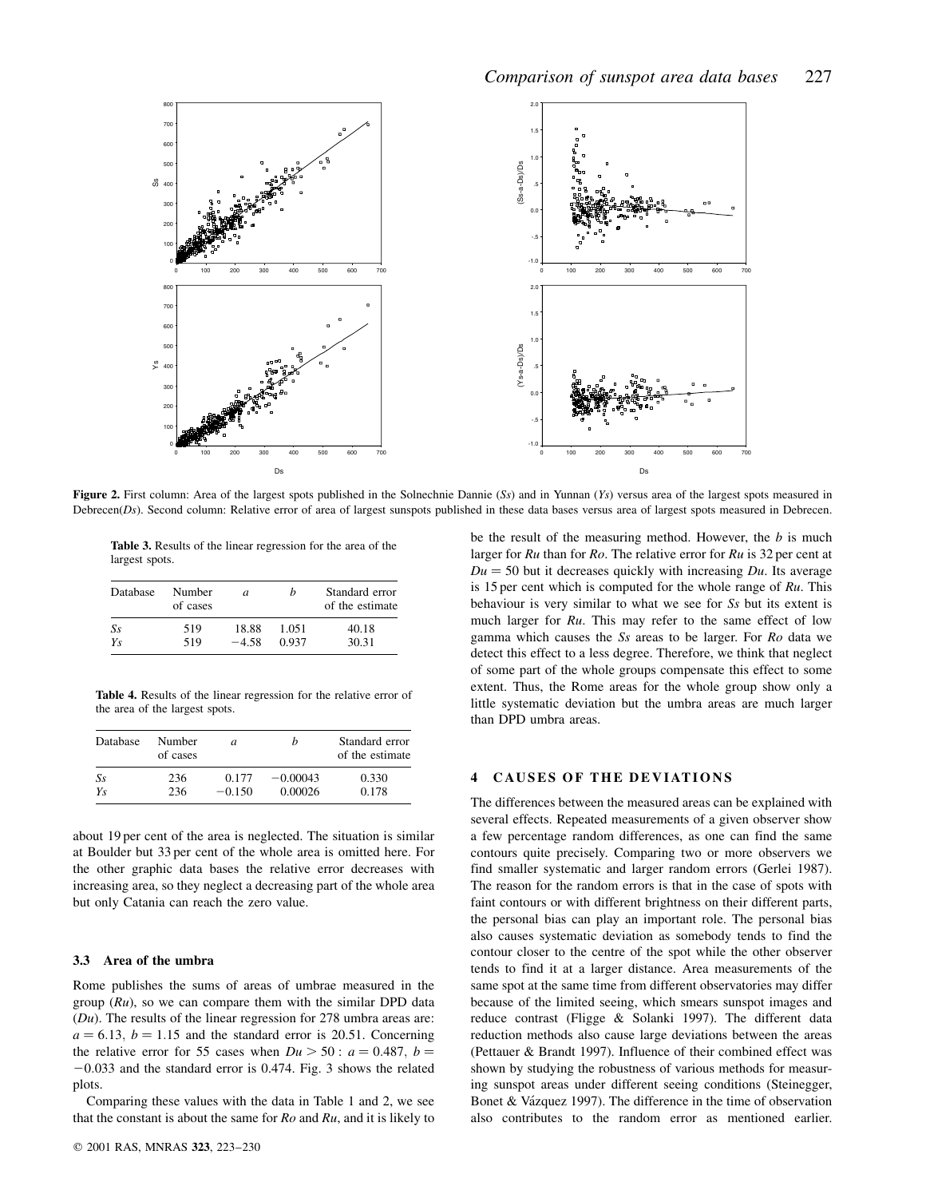

Figure 2. First column: Area of the largest spots published in the Solnechnie Dannie  $(Ss)$  and in Yunnan  $(Ys)$  versus area of the largest spots measured in  $Debrecen(Ds)$ . Second column: Relative error of area of largest sunspots published in these data bases versus area of largest spots measured in Debrecen.

Table 3. Results of the linear regression for the area of the largest spots.

| Database | Number<br>of cases | $\sigma$ |       | Standard error<br>of the estimate |  |
|----------|--------------------|----------|-------|-----------------------------------|--|
| $S_{S}$  | 519                | 18.88    | 1.051 | 40.18                             |  |
| $Y_{S}$  | 519                | $-4.58$  | 0.937 | 30.31                             |  |

|                                |  | <b>Table 4.</b> Results of the linear regression for the relative error of |  |  |
|--------------------------------|--|----------------------------------------------------------------------------|--|--|
| the area of the largest spots. |  |                                                                            |  |  |

| Database | Number<br>of cases | $\sigma$ |            | Standard error<br>of the estimate |  |
|----------|--------------------|----------|------------|-----------------------------------|--|
| Ss       | 236                | 0.177    | $-0.00043$ | 0.330                             |  |
| Ys       | 236                | $-0.150$ | 0.00026    | 0.178                             |  |

about 19 per cent of the area is neglected. The situation is similar at Boulder but 33 per cent of the whole area is omitted here. For the other graphic data bases the relative error decreases with increasing area, so they neglect a decreasing part of the whole area but only Catania can reach the zero value.

#### 3.3 Area of the umbra

Rome publishes the sums of areas of umbrae measured in the group  $(Ru)$ , so we can compare them with the similar DPD data  $(Du)$ . The results of the linear regression for 278 umbra areas are:  $a = 6.13$ ,  $b = 1.15$  and the standard error is 20.51. Concerning the relative error for 55 cases when  $Du > 50$ :  $a = 0.487$ ,  $b =$  $-0.033$  and the standard error is 0.474. Fig. 3 shows the related plots.

Comparing these values with the data in Table 1 and 2, we see that the constant is about the same for  $Ro$  and  $Ru$ , and it is likely to be the result of the measuring method. However, the  $b$  is much larger for  $Ru$  than for  $Ro$ . The relative error for  $Ru$  is 32 per cent at  $Du = 50$  but it decreases quickly with increasing Du. Its average is 15 per cent which is computed for the whole range of  $Ru$ . This behaviour is very similar to what we see for Ss but its extent is much larger for Ru. This may refer to the same effect of low gamma which causes the  $S_s$  areas to be larger. For  $Ro$  data we detect this effect to a less degree. Therefore, we think that neglect of some part of the whole groups compensate this effect to some extent. Thus, the Rome areas for the whole group show only a little systematic deviation but the umbra areas are much larger than DPD umbra areas.

# **4 CAUSES OF THE DEVIATIONS**

The differences between the measured areas can be explained with several effects. Repeated measurements of a given observer show a few percentage random differences, as one can find the same contours quite precisely. Comparing two or more observers we find smaller systematic and larger random errors (Gerlei 1987). The reason for the random errors is that in the case of spots with faint contours or with different brightness on their different parts, the personal bias can play an important role. The personal bias also causes systematic deviation as somebody tends to find the contour closer to the centre of the spot while the other observer tends to find it at a larger distance. Area measurements of the same spot at the same time from different observatories may differ because of the limited seeing, which smears sunspot images and reduce contrast (Fligge & Solanki 1997). The different data reduction methods also cause large deviations between the areas (Pettauer & Brandt 1997). Influence of their combined effect was shown by studying the robustness of various methods for measuring sunspot areas under different seeing conditions (Steinegger, Bonet & Vázquez 1997). The difference in the time of observation also contributes to the random error as mentioned earlier.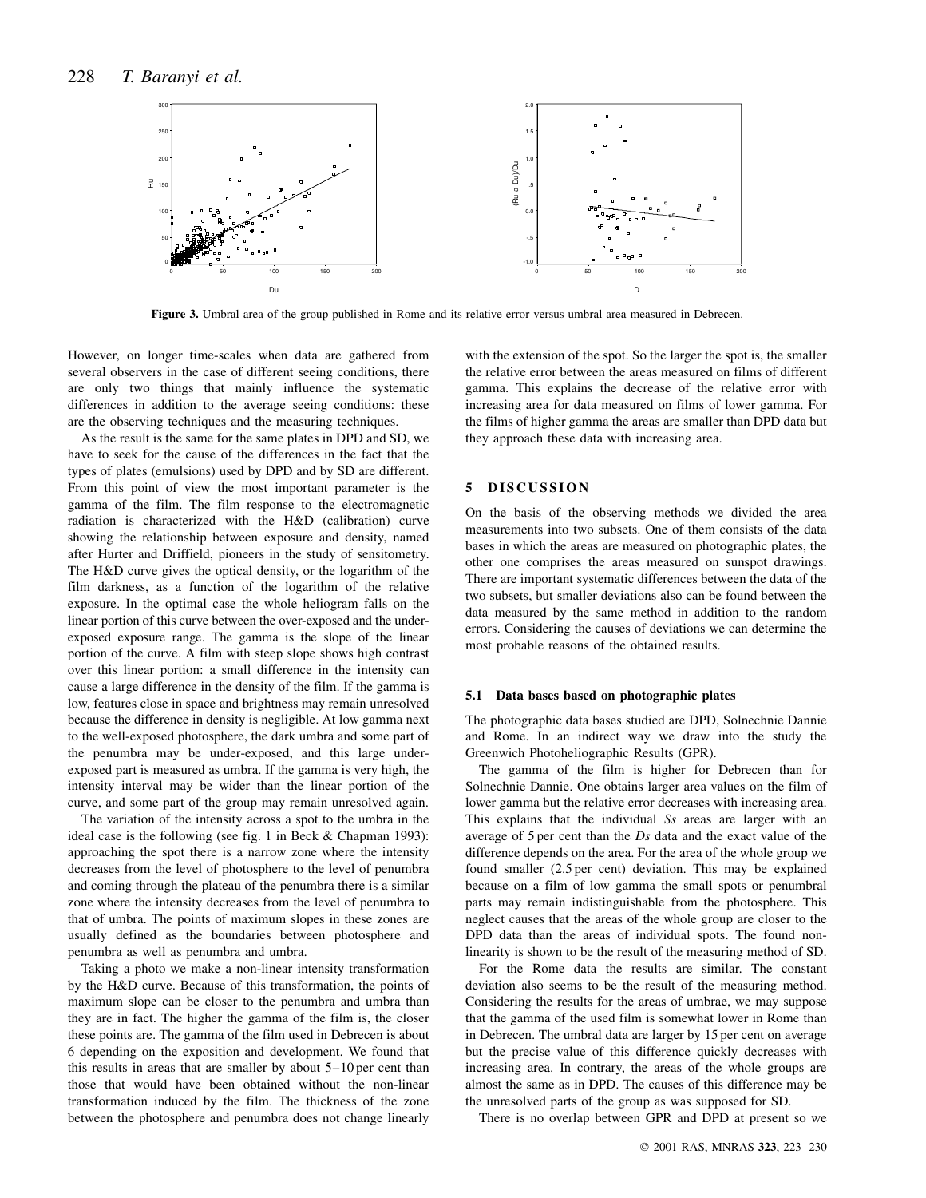

Figure 3. Umbral area of the group published in Rome and its relative error versus umbral area measured in Debrecen.

However, on longer time-scales when data are gathered from several observers in the case of different seeing conditions, there are only two things that mainly influence the systematic differences in addition to the average seeing conditions: these are the observing techniques and the measuring techniques.

As the result is the same for the same plates in DPD and SD, we have to seek for the cause of the differences in the fact that the types of plates (emulsions) used by DPD and by SD are different. From this point of view the most important parameter is the gamma of the film. The film response to the electromagnetic radiation is characterized with the H&D (calibration) curve showing the relationship between exposure and density, named after Hurter and Driffield, pioneers in the study of sensitometry. The H&D curve gives the optical density, or the logarithm of the film darkness, as a function of the logarithm of the relative exposure. In the optimal case the whole heliogram falls on the linear portion of this curve between the over-exposed and the underexposed exposure range. The gamma is the slope of the linear portion of the curve. A film with steep slope shows high contrast over this linear portion: a small difference in the intensity can cause a large difference in the density of the film. If the gamma is low, features close in space and brightness may remain unresolved because the difference in density is negligible. At low gamma next to the well-exposed photosphere, the dark umbra and some part of the penumbra may be under-exposed, and this large underexposed part is measured as umbra. If the gamma is very high, the intensity interval may be wider than the linear portion of the curve, and some part of the group may remain unresolved again.

The variation of the intensity across a spot to the umbra in the ideal case is the following (see fig. 1 in Beck & Chapman 1993): approaching the spot there is a narrow zone where the intensity decreases from the level of photosphere to the level of penumbra and coming through the plateau of the penumbra there is a similar zone where the intensity decreases from the level of penumbra to that of umbra. The points of maximum slopes in these zones are usually defined as the boundaries between photosphere and penumbra as well as penumbra and umbra.

Taking a photo we make a non-linear intensity transformation by the H&D curve. Because of this transformation, the points of maximum slope can be closer to the penumbra and umbra than they are in fact. The higher the gamma of the film is, the closer these points are. The gamma of the film used in Debrecen is about 6 depending on the exposition and development. We found that this results in areas that are smaller by about  $5-10$  per cent than those that would have been obtained without the non-linear transformation induced by the film. The thickness of the zone between the photosphere and penumbra does not change linearly

with the extension of the spot. So the larger the spot is, the smaller the relative error between the areas measured on films of different gamma. This explains the decrease of the relative error with increasing area for data measured on films of lower gamma. For the films of higher gamma the areas are smaller than DPD data but they approach these data with increasing area.

## 5 DISCUSSION

On the basis of the observing methods we divided the area measurements into two subsets. One of them consists of the data bases in which the areas are measured on photographic plates, the other one comprises the areas measured on sunspot drawings. There are important systematic differences between the data of the two subsets, but smaller deviations also can be found between the data measured by the same method in addition to the random errors. Considering the causes of deviations we can determine the most probable reasons of the obtained results.

## 5.1 Data bases based on photographic plates

The photographic data bases studied are DPD, Solnechnie Dannie and Rome. In an indirect way we draw into the study the Greenwich Photoheliographic Results (GPR).

The gamma of the film is higher for Debrecen than for Solnechnie Dannie. One obtains larger area values on the film of lower gamma but the relative error decreases with increasing area. This explains that the individual Ss areas are larger with an average of  $5$  per cent than the  $Ds$  data and the exact value of the difference depends on the area. For the area of the whole group we found smaller (2.5 per cent) deviation. This may be explained because on a film of low gamma the small spots or penumbral parts may remain indistinguishable from the photosphere. This neglect causes that the areas of the whole group are closer to the DPD data than the areas of individual spots. The found nonlinearity is shown to be the result of the measuring method of SD.

For the Rome data the results are similar. The constant deviation also seems to be the result of the measuring method. Considering the results for the areas of umbrae, we may suppose that the gamma of the used film is somewhat lower in Rome than in Debrecen. The umbral data are larger by 15 per cent on average but the precise value of this difference quickly decreases with increasing area. In contrary, the areas of the whole groups are almost the same as in DPD. The causes of this difference may be the unresolved parts of the group as was supposed for SD.

There is no overlap between GPR and DPD at present so we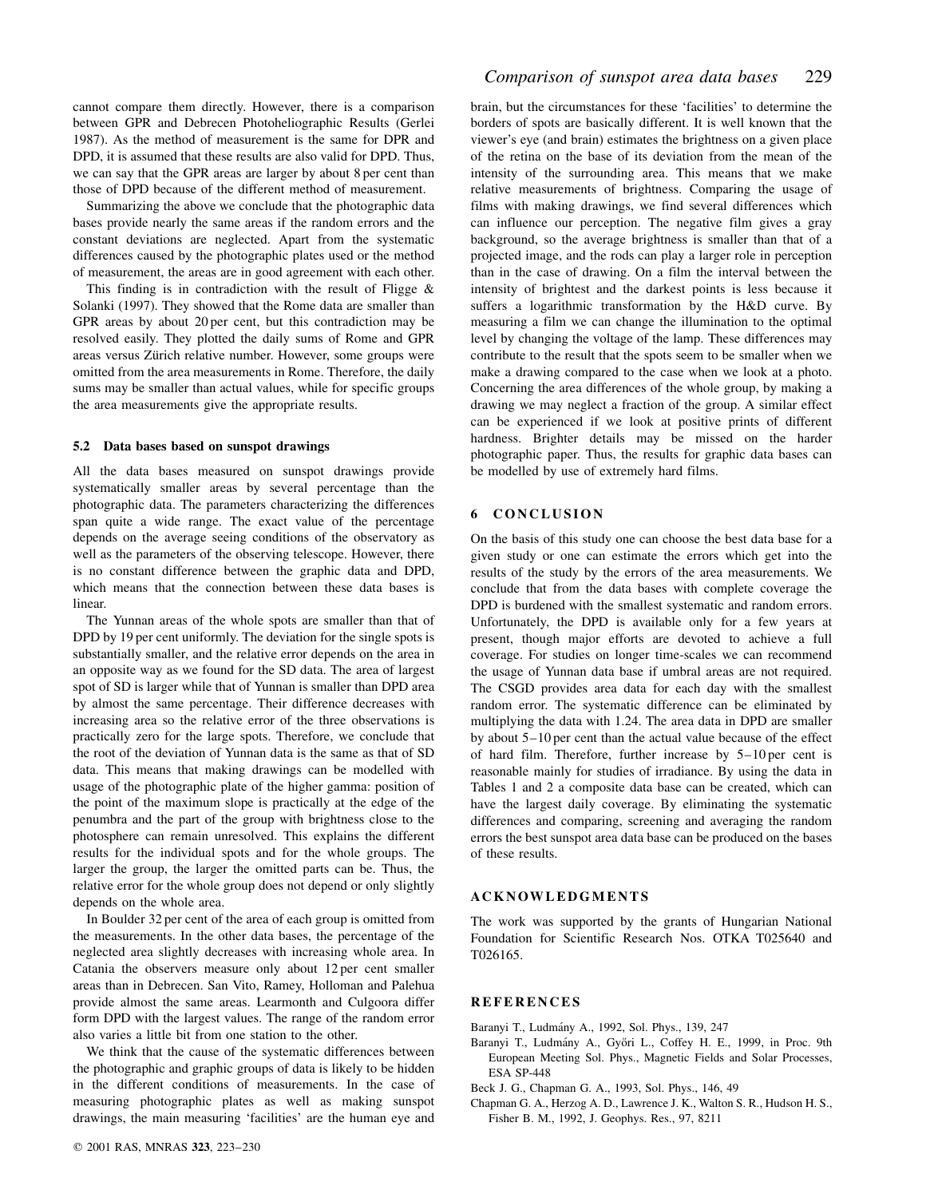cannot compare them directly. However, there is a comparison between GPR and Debrecen Photoheliographic Results (Gerlei 1987). As the method of measurement is the same for DPR and DPD, it is assumed that these results are also valid for DPD. Thus, we can say that the GPR areas are larger by about 8 per cent than those of DPD because of the different method of measurement.

Summarizing the above we conclude that the photographic data bases provide nearly the same areas if the random errors and the constant deviations are neglected. Apart from the systematic differences caused by the photographic plates used or the method of measurement, the areas are in good agreement with each other.

This finding is in contradiction with the result of Fligge  $\&$ Solanki (1997). They showed that the Rome data are smaller than GPR areas by about 20 per cent, but this contradiction may be resolved easily. They plotted the daily sums of Rome and GPR areas versus Zürich relative number. However, some groups were omitted from the area measurements in Rome. Therefore, the daily sums may be smaller than actual values, while for specific groups the area measurements give the appropriate results.

# 5.2 Data bases based on sunspot drawings

All the data bases measured on sunspot drawings provide systematically smaller areas by several percentage than the photographic data. The parameters characterizing the differences span quite a wide range. The exact value of the percentage depends on the average seeing conditions of the observatory as well as the parameters of the observing telescope. However, there is no constant difference between the graphic data and DPD, which means that the connection between these data bases is linear.

The Yunnan areas of the whole spots are smaller than that of DPD by 19 per cent uniformly. The deviation for the single spots is substantially smaller, and the relative error depends on the area in an opposite way as we found for the SD data. The area of largest spot of SD is larger while that of Yunnan is smaller than DPD area by almost the same percentage. Their difference decreases with increasing area so the relative error of the three observations is practically zero for the large spots. Therefore, we conclude that the root of the deviation of Yunnan data is the same as that of SD data. This means that making drawings can be modelled with usage of the photographic plate of the higher gamma: position of the point of the maximum slope is practically at the edge of the penumbra and the part of the group with brightness close to the photosphere can remain unresolved. This explains the different results for the individual spots and for the whole groups. The larger the group, the larger the omitted parts can be. Thus, the relative error for the whole group does not depend or only slightly depends on the whole area.

In Boulder 32 per cent of the area of each group is omitted from the measurements. In the other data bases, the percentage of the neglected area slightly decreases with increasing whole area. In Catania the observers measure only about 12 per cent smaller areas than in Debrecen. San Vito, Ramey, Holloman and Palehua provide almost the same areas. Learmonth and Culgoora differ form DPD with the largest values. The range of the random error also varies a little bit from one station to the other.

We think that the cause of the systematic differences between the photographic and graphic groups of data is likely to be hidden in the different conditions of measurements. In the case of measuring photographic plates as well as making sunspot drawings, the main measuring 'facilities' are the human eye and

brain, but the circumstances for these 'facilities' to determine the borders of spots are basically different. It is well known that the viewer's eye (and brain) estimates the brightness on a given place of the retina on the base of its deviation from the mean of the intensity of the surrounding area. This means that we make relative measurements of brightness. Comparing the usage of films with making drawings, we find several differences which can influence our perception. The negative film gives a gray background, so the average brightness is smaller than that of a projected image, and the rods can play a larger role in perception than in the case of drawing. On a film the interval between the intensity of brightest and the darkest points is less because it suffers a logarithmic transformation by the H&D curve. By measuring a film we can change the illumination to the optimal level by changing the voltage of the lamp. These differences may contribute to the result that the spots seem to be smaller when we make a drawing compared to the case when we look at a photo. Concerning the area differences of the whole group, by making a drawing we may neglect a fraction of the group. A similar effect can be experienced if we look at positive prints of different hardness. Brighter details may be missed on the harder photographic paper. Thus, the results for graphic data bases can be modelled by use of extremely hard films.

# 6 CONCLUSION

On the basis of this study one can choose the best data base for a given study or one can estimate the errors which get into the results of the study by the errors of the area measurements. We conclude that from the data bases with complete coverage the DPD is burdened with the smallest systematic and random errors. Unfortunately, the DPD is available only for a few years at present, though major efforts are devoted to achieve a full coverage. For studies on longer time-scales we can recommend the usage of Yunnan data base if umbral areas are not required. The CSGD provides area data for each day with the smallest random error. The systematic difference can be eliminated by multiplying the data with 1.24. The area data in DPD are smaller by about 5-10 per cent than the actual value because of the effect of hard film. Therefore, further increase by  $5-10$  per cent is reasonable mainly for studies of irradiance. By using the data in Tables 1 and 2 a composite data base can be created, which can have the largest daily coverage. By eliminating the systematic differences and comparing, screening and averaging the random errors the best sunspot area data base can be produced on the bases of these results.

## **ACKNOWLEDGMENTS**

The work was supported by the grants of Hungarian National Foundation for Scientific Research Nos. OTKA T025640 and T026165.

#### **REFERENCES**

- Baranyi T., Ludmány A., 1992, Sol. Phys., 139, 247
- Baranyi T., Ludmány A., Győri L., Coffey H. E., 1999, in Proc. 9th European Meeting Sol. Phys., Magnetic Fields and Solar Processes, **ESA SP-448**
- Beck J. G., Chapman G. A., 1993, Sol. Phys., 146, 49
- Chapman G. A., Herzog A. D., Lawrence J. K., Walton S. R., Hudson H. S., Fisher B. M., 1992, J. Geophys. Res., 97, 8211